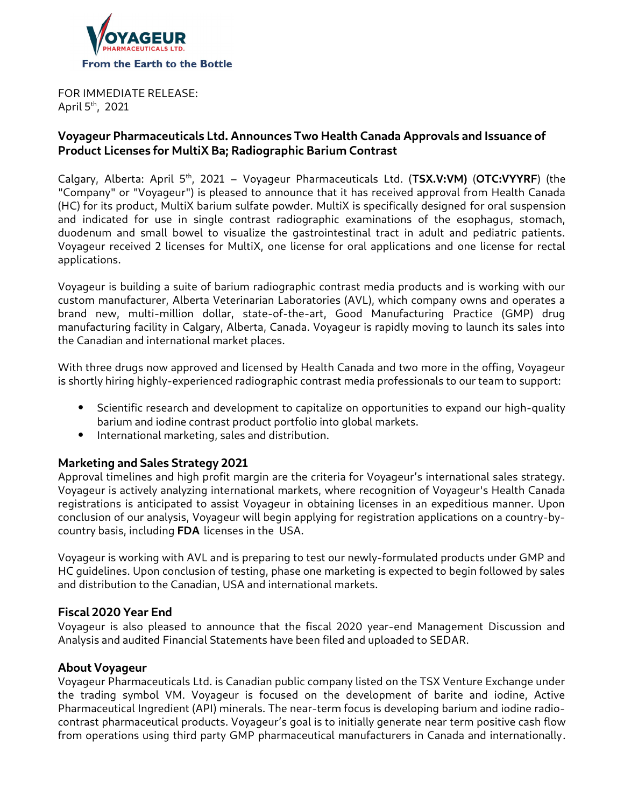

FOR IMMEDIATE RELEASE: April  $5<sup>th</sup>$ , 2021

# **Voyageur Pharmaceuticals Ltd. Announces Two Health Canada Approvals and Issuance of Product Licenses for MultiX Ba; Radiographic Barium Contrast**

Calgary, Alberta: April 5th, 2021 – Voyageur Pharmaceuticals Ltd. (**TSX.V:VM)** (**OTC:VYYRF**) (the "Company" or "Voyageur") is pleased to announce that it has received approval from Health Canada (HC) for its product, MultiX barium sulfate powder. MultiX is specifically designed for oral suspension and indicated for use in single contrast radiographic examinations of the esophagus, stomach, duodenum and small bowel to visualize the gastrointestinal tract in adult and pediatric patients. Voyageur received 2 licenses for MultiX, one license for oral applications and one license for rectal applications.

Voyageur is building a suite of barium radiographic contrast media products and is working with our custom manufacturer, Alberta Veterinarian Laboratories (AVL), which company owns and operates a brand new, multi-million dollar, state-of-the-art, Good Manufacturing Practice (GMP) drug manufacturing facility in Calgary, Alberta, Canada. Voyageur is rapidly moving to launch its sales into the Canadian and international market places.

With three drugs now approved and licensed by Health Canada and two more in the offing, Voyageur is shortly hiring highly-experienced radiographic contrast media professionals to our team to support:

- Scientific research and development to capitalize on opportunities to expand our high-quality barium and iodine contrast product portfolio into global markets.
- International marketing, sales and distribution.

# **Marketing and Sales Strategy 2021**

Approval timelines and high profit margin are the criteria for Voyageur's international sales strategy. Voyageur is actively analyzing international markets, where recognition of Voyageur's Health Canada registrations is anticipated to assist Voyageur in obtaining licenses in an expeditious manner. Upon conclusion of our analysis, Voyageur will begin applying for registration applications on a country-bycountry basis, including **FDA** licenses in the USA.

Voyageur is working with AVL and is preparing to test our newly-formulated products under GMP and HC guidelines. Upon conclusion of testing, phase one marketing is expected to begin followed by sales and distribution to the Canadian, USA and international markets.

# **Fiscal 2020 Year End**

Voyageur is also pleased to announce that the fiscal 2020 year-end Management Discussion and Analysis and audited Financial Statements have been filed and uploaded to SEDAR.

### **About Voyageur**

Voyageur Pharmaceuticals Ltd. is Canadian public company listed on the TSX Venture Exchange under the trading symbol VM. Voyageur is focused on the development of barite and iodine, Active Pharmaceutical Ingredient (API) minerals. The near-term focus is developing barium and iodine radiocontrast pharmaceutical products. Voyageur's goal is to initially generate near term positive cash flow from operations using third party GMP pharmaceutical manufacturers in Canada and internationally.